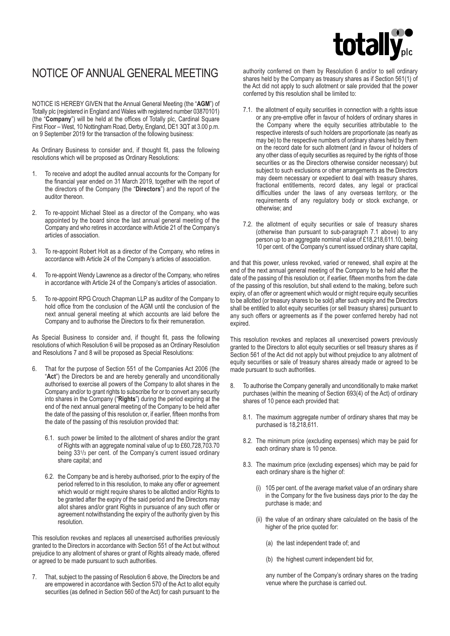# totally

## NOTICE OF ANNUAL GENERAL MEETING

NOTICE IS HEREBY GIVEN that the Annual General Meeting (the "**AGM**") of Totally plc (registered in England and Wales with registered number 03870101) (the "**Company**") will be held at the offices of Totally plc, Cardinal Square First Floor – West, 10 Nottingham Road, Derby, England, DE1 3QT at 3.00 p.m. on 9 September 2019 for the transaction of the following business:

As Ordinary Business to consider and, if thought fit, pass the following resolutions which will be proposed as Ordinary Resolutions:

- 1. To receive and adopt the audited annual accounts for the Company for the financial year ended on 31 March 2019, together with the report of the directors of the Company (the "**Directors**") and the report of the auditor thereon.
- 2. To re-appoint Michael Steel as a director of the Company, who was appointed by the board since the last annual general meeting of the Company and who retires in accordance with Article 21 of the Company's articles of association.
- 3. To re-appoint Robert Holt as a director of the Company, who retires in accordance with Article 24 of the Company's articles of association.
- 4. To re-appoint Wendy Lawrence as a director of the Company, who retires in accordance with Article 24 of the Company's articles of association.
- 5. To re-appoint RPG Crouch Chapman LLP as auditor of the Company to hold office from the conclusion of the AGM until the conclusion of the next annual general meeting at which accounts are laid before the Company and to authorise the Directors to fix their remuneration.

As Special Business to consider and, if thought fit, pass the following resolutions of which Resolution 6 will be proposed as an Ordinary Resolution and Resolutions 7 and 8 will be proposed as Special Resolutions:

- 6. That for the purpose of Section 551 of the Companies Act 2006 (the "**Act**") the Directors be and are hereby generally and unconditionally authorised to exercise all powers of the Company to allot shares in the Company and/or to grant rights to subscribe for or to convert any security into shares in the Company ("**Rights**") during the period expiring at the end of the next annual general meeting of the Company to be held after the date of the passing of this resolution or, if earlier, fifteen months from the date of the passing of this resolution provided that:
	- 6.1. such power be limited to the allotment of shares and/or the grant of Rights with an aggregate nominal value of up to £60,728,703.70 being 331/3 per cent. of the Company's current issued ordinary share capital; and
	- 6.2. the Company be and is hereby authorised, prior to the expiry of the period referred to in this resolution, to make any offer or agreement which would or might require shares to be allotted and/or Rights to be granted after the expiry of the said period and the Directors may allot shares and/or grant Rights in pursuance of any such offer or agreement notwithstanding the expiry of the authority given by this resolution.

This resolution revokes and replaces all unexercised authorities previously granted to the Directors in accordance with Section 551 of the Act but without prejudice to any allotment of shares or grant of Rights already made, offered or agreed to be made pursuant to such authorities.

7. That, subject to the passing of Resolution 6 above, the Directors be and are empowered in accordance with Section 570 of the Act to allot equity securities (as defined in Section 560 of the Act) for cash pursuant to the

authority conferred on them by Resolution 6 and/or to sell ordinary shares held by the Company as treasury shares as if Section 561(1) of the Act did not apply to such allotment or sale provided that the power conferred by this resolution shall be limited to:

- 7.1. the allotment of equity securities in connection with a rights issue or any pre-emptive offer in favour of holders of ordinary shares in the Company where the equity securities attributable to the respective interests of such holders are proportionate (as nearly as may be) to the respective numbers of ordinary shares held by them on the record date for such allotment (and in favour of holders of any other class of equity securities as required by the rights of those securities or as the Directors otherwise consider necessary) but subject to such exclusions or other arrangements as the Directors may deem necessary or expedient to deal with treasury shares, fractional entitlements, record dates, any legal or practical difficulties under the laws of any overseas territory, or the requirements of any regulatory body or stock exchange, or otherwise; and
- 7.2. the allotment of equity securities or sale of treasury shares (otherwise than pursuant to sub-paragraph 7.1 above) to any person up to an aggregate nominal value of £18,218,611.10, being 10 per cent. of the Company's current issued ordinary share capital,

and that this power, unless revoked, varied or renewed, shall expire at the end of the next annual general meeting of the Company to be held after the date of the passing of this resolution or, if earlier, fifteen months from the date of the passing of this resolution, but shall extend to the making, before such expiry, of an offer or agreement which would or might require equity securities to be allotted (or treasury shares to be sold) after such expiry and the Directors shall be entitled to allot equity securities (or sell treasury shares) pursuant to any such offers or agreements as if the power conferred hereby had not expired.

This resolution revokes and replaces all unexercised powers previously granted to the Directors to allot equity securities or sell treasury shares as if Section 561 of the Act did not apply but without prejudice to any allotment of equity securities or sale of treasury shares already made or agreed to be made pursuant to such authorities.

- 8. To authorise the Company generally and unconditionally to make market purchases (within the meaning of Section 693(4) of the Act) of ordinary shares of 10 pence each provided that:
	- 8.1. The maximum aggregate number of ordinary shares that may be purchased is 18,218,611.
	- 8.2. The minimum price (excluding expenses) which may be paid for each ordinary share is 10 pence.
	- 8.3. The maximum price (excluding expenses) which may be paid for each ordinary share is the higher of:
		- (i) 105 per cent. of the average market value of an ordinary share in the Company for the five business days prior to the day the purchase is made; and
		- (ii) the value of an ordinary share calculated on the basis of the higher of the price quoted for:
			- (a) the last independent trade of; and
			- (b) the highest current independent bid for,

 any number of the Company's ordinary shares on the trading venue where the purchase is carried out.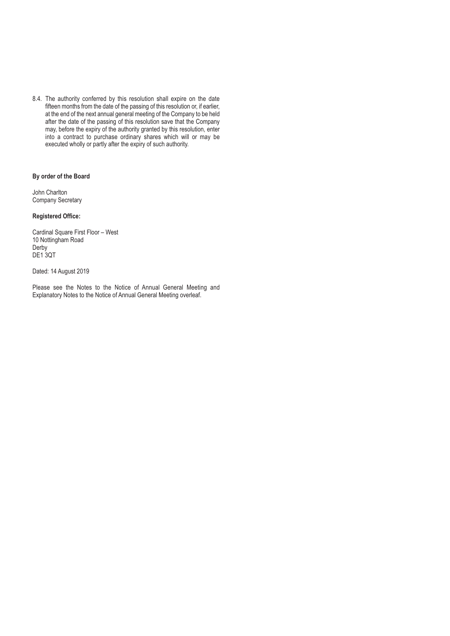8.4. The authority conferred by this resolution shall expire on the date fifteen months from the date of the passing of this resolution or, if earlier, at the end of the next annual general meeting of the Company to be held after the date of the passing of this resolution save that the Company may, before the expiry of the authority granted by this resolution, enter into a contract to purchase ordinary shares which will or may be executed wholly or partly after the expiry of such authority.

### **By order of the Board**

John Charlton Company Secretary

#### **Registered Office:**

Cardinal Square First Floor – West 10 Nottingham Road Derby DE1 3QT

Dated: 14 August 2019

Please see the Notes to the Notice of Annual General Meeting and Explanatory Notes to the Notice of Annual General Meeting overleaf.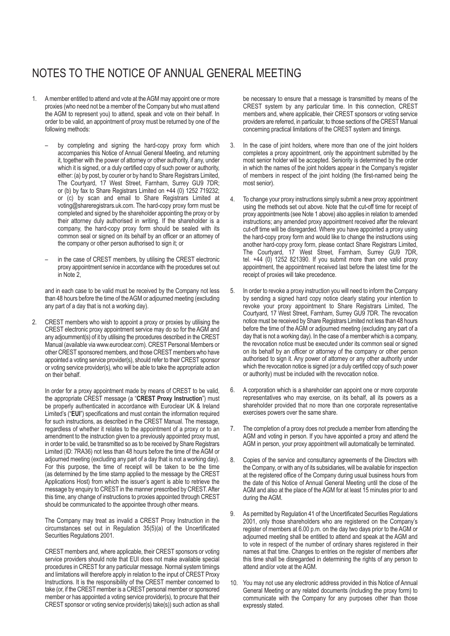## NOTES TO THE NOTICE OF ANNUAL GENERAL MEETING

- 1. A member entitled to attend and vote at the AGM may appoint one or more proxies (who need not be a member of the Company but who must attend the AGM to represent you) to attend, speak and vote on their behalf. In order to be valid, an appointment of proxy must be returned by one of the following methods:
	- by completing and signing the hard-copy proxy form which accompanies this Notice of Annual General Meeting, and returning it, together with the power of attorney or other authority, if any, under which it is signed, or a duly certified copy of such power or authority, either: (a) by post, by courier or by hand to Share Registrars Limited, The Courtyard, 17 West Street, Farnham, Surrey GU9 7DR; or (b) by fax to Share Registrars Limited on +44 (0) 1252 719232; or (c) by scan and email to Share Registrars Limited at voting@shareregistrars.uk.com. The hard-copy proxy form must be completed and signed by the shareholder appointing the proxy or by their attorney duly authorised in writing. If the shareholder is a company, the hard-copy proxy form should be sealed with its common seal or signed on its behalf by an officer or an attorney of the company or other person authorised to sign it; or
	- in the case of CREST members, by utilising the CREST electronic proxy appointment service in accordance with the procedures set out in Note 2,

and in each case to be valid must be received by the Company not less than 48 hours before the time of the AGM or adjourned meeting (excluding any part of a day that is not a working day).

2. CREST members who wish to appoint a proxy or proxies by utilising the CREST electronic proxy appointment service may do so for the AGM and any adjournment(s) of it by utilising the procedures described in the CREST Manual (available via www.euroclear.com). CREST Personal Members or other CREST sponsored members, and those CREST members who have appointed a voting service provider(s), should refer to their CREST sponsor or voting service provider(s), who will be able to take the appropriate action on their behalf.

In order for a proxy appointment made by means of CREST to be valid, the appropriate CREST message (a "**CREST Proxy Instruction**") must be properly authenticated in accordance with Euroclear UK & Ireland Limited's ("**EUI**") specifications and must contain the information required for such instructions, as described in the CREST Manual. The message, regardless of whether it relates to the appointment of a proxy or to an amendment to the instruction given to a previously appointed proxy must, in order to be valid, be transmitted so as to be received by Share Registrars Limited (ID: 7RA36) not less than 48 hours before the time of the AGM or adjourned meeting (excluding any part of a day that is not a working day). For this purpose, the time of receipt will be taken to be the time (as determined by the time stamp applied to the message by the CREST Applications Host) from which the issuer's agent is able to retrieve the message by enquiry to CREST in the manner prescribed by CREST. After this time, any change of instructions to proxies appointed through CREST should be communicated to the appointee through other means.

The Company may treat as invalid a CREST Proxy Instruction in the circumstances set out in Regulation 35(5)(a) of the Uncertificated Securities Regulations 2001.

CREST members and, where applicable, their CREST sponsors or voting service providers should note that EUI does not make available special procedures in CREST for any particular message. Normal system timings and limitations will therefore apply in relation to the input of CREST Proxy Instructions. It is the responsibility of the CREST member concerned to take (or, if the CREST member is a CREST personal member or sponsored member or has appointed a voting service provider(s), to procure that their CREST sponsor or voting service provider(s) take(s)) such action as shall

be necessary to ensure that a message is transmitted by means of the CREST system by any particular time. In this connection, CREST members and, where applicable, their CREST sponsors or voting service providers are referred, in particular, to those sections of the CREST Manual concerning practical limitations of the CREST system and timings.

- 3. In the case of joint holders, where more than one of the joint holders completes a proxy appointment, only the appointment submitted by the most senior holder will be accepted. Seniority is determined by the order in which the names of the joint holders appear in the Company's register of members in respect of the joint holding (the first-named being the most senior).
- 4. To change your proxy instructions simply submit a new proxy appointment using the methods set out above. Note that the cut-off time for receipt of proxy appointments (see Note 1 above) also applies in relation to amended instructions; any amended proxy appointment received after the relevant cut-off time will be disregarded. Where you have appointed a proxy using the hard-copy proxy form and would like to change the instructions using another hard-copy proxy form, please contact Share Registrars Limited, The Courtyard, 17 West Street, Farnham, Surrey GU9 7DR, tel. +44 (0) 1252 821390. If you submit more than one valid proxy appointment, the appointment received last before the latest time for the receipt of proxies will take precedence.
- 5. In order to revoke a proxy instruction you will need to inform the Company by sending a signed hard copy notice clearly stating your intention to revoke your proxy appointment to Share Registrars Limited, The Courtyard, 17 West Street, Farnham, Surrey GU9 7DR. The revocation notice must be received by Share Registrars Limited not less than 48 hours before the time of the AGM or adjourned meeting (excluding any part of a day that is not a working day). In the case of a member which is a company, the revocation notice must be executed under its common seal or signed on its behalf by an officer or attorney of the company or other person authorised to sign it. Any power of attorney or any other authority under which the revocation notice is signed (or a duly certified copy of such power or authority) must be included with the revocation notice.
- 6. A corporation which is a shareholder can appoint one or more corporate representatives who may exercise, on its behalf, all its powers as a shareholder provided that no more than one corporate representative exercises powers over the same share.
- 7. The completion of a proxy does not preclude a member from attending the AGM and voting in person. If you have appointed a proxy and attend the AGM in person, your proxy appointment will automatically be terminated.
- 8. Copies of the service and consultancy agreements of the Directors with the Company, or with any of its subsidiaries, will be available for inspection at the registered office of the Company during usual business hours from the date of this Notice of Annual General Meeting until the close of the AGM and also at the place of the AGM for at least 15 minutes prior to and during the AGM.
- 9. As permitted by Regulation 41 of the Uncertificated Securities Regulations 2001, only those shareholders who are registered on the Company's register of members at 6.00 p.m. on the day two days prior to the AGM or adjourned meeting shall be entitled to attend and speak at the AGM and to vote in respect of the number of ordinary shares registered in their names at that time. Changes to entries on the register of members after this time shall be disregarded in determining the rights of any person to attend and/or vote at the AGM.
- 10. You may not use any electronic address provided in this Notice of Annual General Meeting or any related documents (including the proxy form) to communicate with the Company for any purposes other than those expressly stated.